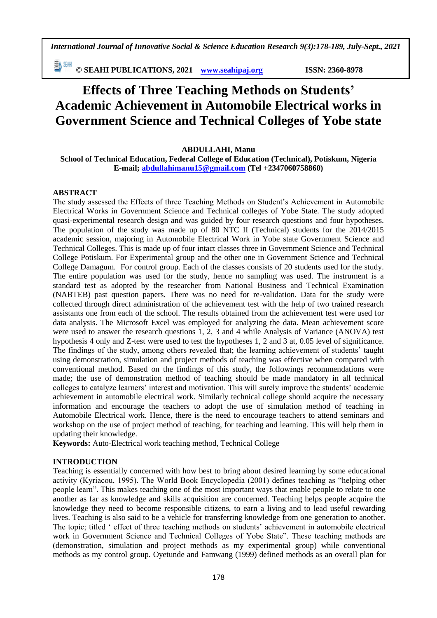*International Journal of Innovative Social & Science Education Research 9(3):178-189, July-Sept., 2021*

**© SEAHI PUBLICATIONS, 2021 [www.seahipaj.org](http://www.seahipaj.org/) ISSN: 2360-8978**

# **Effects of Three Teaching Methods on Students' Academic Achievement in Automobile Electrical works in Government Science and Technical Colleges of Yobe state**

# **ABDULLAHI, Manu**

**School of Technical Education, Federal College of Education (Technical), Potiskum, Nigeria E-mail; [abdullahimanu15@gmail.com](mailto:abdullahimanu15@gmail.com) (Tel +2347060758860)**

# **ABSTRACT**

The study assessed the Effects of three Teaching Methods on Student's Achievement in Automobile Electrical Works in Government Science and Technical colleges of Yobe State. The study adopted quasi-experimental research design and was guided by four research questions and four hypotheses. The population of the study was made up of 80 NTC II (Technical) students for the 2014/2015 academic session, majoring in Automobile Electrical Work in Yobe state Government Science and Technical Colleges. This is made up of four intact classes three in Government Science and Technical College Potiskum. For Experimental group and the other one in Government Science and Technical College Damagum. For control group. Each of the classes consists of 20 students used for the study. The entire population was used for the study, hence no sampling was used. The instrument is a standard test as adopted by the researcher from National Business and Technical Examination (NABTEB) past question papers. There was no need for re-validation. Data for the study were collected through direct administration of the achievement test with the help of two trained research assistants one from each of the school. The results obtained from the achievement test were used for data analysis. The Microsoft Excel was employed for analyzing the data. Mean achievement score were used to answer the research questions 1, 2, 3 and 4 while Analysis of Variance (ANOVA) test hypothesis 4 only and Z-test were used to test the hypotheses 1, 2 and 3 at, 0.05 level of significance. The findings of the study, among others revealed that; the learning achievement of students' taught using demonstration, simulation and project methods of teaching was effective when compared with conventional method. Based on the findings of this study, the followings recommendations were made; the use of demonstration method of teaching should be made mandatory in all technical colleges to catalyze learners' interest and motivation. This will surely improve the students' academic achievement in automobile electrical work. Similarly technical college should acquire the necessary information and encourage the teachers to adopt the use of simulation method of teaching in Automobile Electrical work. Hence, there is the need to encourage teachers to attend seminars and workshop on the use of project method of teaching, for teaching and learning. This will help them in updating their knowledge.

**Keywords:** Auto-Electrical work teaching method, Technical College

## **INTRODUCTION**

Teaching is essentially concerned with how best to bring about desired learning by some educational activity (Kyriacou, 1995). The World Book Encyclopedia (2001) defines teaching as "helping other people learn". This makes teaching one of the most important ways that enable people to relate to one another as far as knowledge and skills acquisition are concerned. Teaching helps people acquire the knowledge they need to become responsible citizens, to earn a living and to lead useful rewarding lives. Teaching is also said to be a vehicle for transferring knowledge from one generation to another. The topic; titled ' effect of three teaching methods on students' achievement in automobile electrical work in Government Science and Technical Colleges of Yobe State". These teaching methods are (demonstration, simulation and project methods as my experimental group) while conventional methods as my control group. Oyetunde and Famwang (1999) defined methods as an overall plan for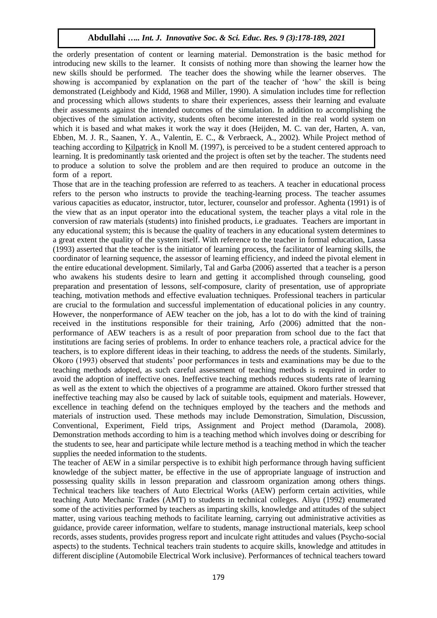the orderly presentation of content or learning material. Demonstration is the basic method for introducing new skills to the learner. It consists of nothing more than showing the learner how the new skills should be performed. The teacher does the showing while the learner observes. The showing is accompanied by explanation on the part of the teacher of 'how' the skill is being demonstrated (Leighbody and Kidd, 1968 and Miller, 1990). A simulation includes time for reflection and processing which allows students to share their experiences, assess their learning and evaluate their assessments against the intended outcomes of the simulation. In addition to accomplishing the objectives of the simulation activity, students often become interested in the real world system on which it is based and what makes it work the way it does (Heijden, M. C. van der, Harten, A. van, Ebben, M. J. R., Saanen, Y. A., Valentin, E. C., & Verbraeck, A., 2002). While Project method of teaching according to [Kilpatrick](http://en.wikipedia.org/wiki/William_Heard_Kilpatrick) in Knoll M. (1997), is perceived to be a student centered approach to learning. It is predominantly task oriented and the project is often set by the teacher. The students need to produce a solution to solve the problem and are then required to produce an outcome in the form of a report.

Those that are in the teaching profession are referred to as teachers. A teacher in educational process refers to the person who instructs to provide the teaching-learning process. The teacher assumes various capacities as educator, instructor, tutor, lecturer, counselor and professor. Aghenta (1991) is of the view that as an input operator into the educational system, the teacher plays a vital role in the conversion of raw materials (students) into finished products, i.e graduates. Teachers are important in any educational system; this is because the quality of teachers in any educational system determines to a great extent the quality of the system itself. With reference to the teacher in formal education, Lassa (1993) asserted that the teacher is the initiator of learning process, the facilitator of learning skills, the coordinator of learning sequence, the assessor of learning efficiency, and indeed the pivotal element in the entire educational development. Similarly, Tal and Garba (2006) asserted that a teacher is a person who awakens his students desire to learn and getting it accomplished through counseling, good preparation and presentation of lessons, self-composure, clarity of presentation, use of appropriate teaching, motivation methods and effective evaluation techniques. Professional teachers in particular are crucial to the formulation and successful implementation of educational policies in any country. However, the nonperformance of AEW teacher on the job, has a lot to do with the kind of training received in the institutions responsible for their training, Arfo (2006) admitted that the nonperformance of AEW teachers is as a result of poor preparation from school due to the fact that institutions are facing series of problems. In order to enhance teachers role, a practical advice for the teachers, is to explore different ideas in their teaching, to address the needs of the students. Similarly, Okoro (1993) observed that students' poor performances in tests and examinations may be due to the teaching methods adopted, as such careful assessment of teaching methods is required in order to avoid the adoption of ineffective ones. Ineffective teaching methods reduces students rate of learning as well as the extent to which the objectives of a programme are attained. Okoro further stressed that ineffective teaching may also be caused by lack of suitable tools, equipment and materials. However, excellence in teaching defend on the techniques employed by the teachers and the methods and materials of instruction used. These methods may include Demonstration, Simulation, Discussion, Conventional, Experiment, Field trips, Assignment and Project method (Daramola, 2008). Demonstration methods according to him is a teaching method which involves doing or describing for the students to see, hear and participate while lecture method is a teaching method in which the teacher supplies the needed information to the students.

The teacher of AEW in a similar perspective is to exhibit high performance through having sufficient knowledge of the subject matter, be effective in the use of appropriate language of instruction and possessing quality skills in lesson preparation and classroom organization among others things. Technical teachers like teachers of Auto Electrical Works (AEW) perform certain activities, while teaching Auto Mechanic Trades (AMT) to students in technical colleges. Aliyu (1992) enumerated some of the activities performed by teachers as imparting skills, knowledge and attitudes of the subject matter, using various teaching methods to facilitate learning, carrying out administrative activities as guidance, provide career information, welfare to students, manage instructional materials, keep school records, asses students, provides progress report and inculcate right attitudes and values (Psycho-social aspects) to the students. Technical teachers train students to acquire skills, knowledge and attitudes in different discipline (Automobile Electrical Work inclusive). Performances of technical teachers toward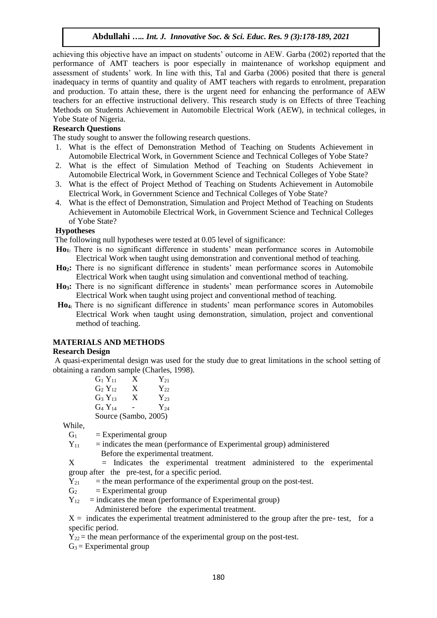achieving this objective have an impact on students' outcome in AEW. Garba (2002) reported that the performance of AMT teachers is poor especially in maintenance of workshop equipment and assessment of students' work. In line with this, Tal and Garba (2006) posited that there is general inadequacy in terms of quantity and quality of AMT teachers with regards to enrolment, preparation and production. To attain these, there is the urgent need for enhancing the performance of AEW teachers for an effective instructional delivery. This research study is on Effects of three Teaching Methods on Students Achievement in Automobile Electrical Work (AEW), in technical colleges, in Yobe State of Nigeria.

# **Research Questions**

The study sought to answer the following research questions.

- 1. What is the effect of Demonstration Method of Teaching on Students Achievement in Automobile Electrical Work, in Government Science and Technical Colleges of Yobe State?
- 2. What is the effect of Simulation Method of Teaching on Students Achievement in Automobile Electrical Work, in Government Science and Technical Colleges of Yobe State?
- 3. What is the effect of Project Method of Teaching on Students Achievement in Automobile Electrical Work, in Government Science and Technical Colleges of Yobe State?
- 4. What is the effect of Demonstration, Simulation and Project Method of Teaching on Students Achievement in Automobile Electrical Work, in Government Science and Technical Colleges of Yobe State?

#### **Hypotheses**

The following null hypotheses were tested at 0.05 level of significance:

- **Ho1:** There is no significant difference in students' mean performance scores in Automobile Electrical Work when taught using demonstration and conventional method of teaching.
- **Ho2:** There is no significant difference in students' mean performance scores in Automobile Electrical Work when taught using simulation and conventional method of teaching.
- **Ho3:** There is no significant difference in students' mean performance scores in Automobile Electrical Work when taught using project and conventional method of teaching.
- **Ho4:** There is no significant difference in students' mean performance scores in Automobiles Electrical Work when taught using demonstration, simulation, project and conventional method of teaching.

## **MATERIALS AND METHODS**

#### **Research Design**

A quasi-experimental design was used for the study due to great limitations in the school setting of obtaining a random sample (Charles, 1998).

| $G_1 Y_{11}$   | X                    | $Y_{21}$ |
|----------------|----------------------|----------|
| $G_2 Y_{12}$   | X                    | $Y_{22}$ |
| $G_3 Y_{13}$   | X                    | $Y_{23}$ |
| $G_4$ $Y_{14}$ |                      | $Y_{24}$ |
|                | Source (Sambo, 2005) |          |

While,

- $G_1$  = Experimental group
- $Y_{11}$  = indicates the mean (performance of Experimental group) administered Before the experimental treatment.

X = Indicates the experimental treatment administered to the experimental group after the pre-test, for a specific period.

- $Y_{21}$  = the mean performance of the experimental group on the post-test.
- $G_2$  = Experimental group
- $Y_{12}$  = indicates the mean (performance of Experimental group)
	- Administered before the experimental treatment.

 $X =$  indicates the experimental treatment administered to the group after the pre- test, for a specific period.

 $Y_{22}$  = the mean performance of the experimental group on the post-test.

 $G_3$  = Experimental group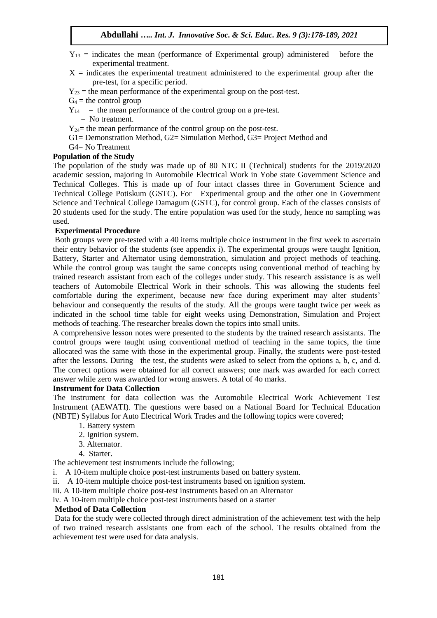- $Y_{13}$  = indicates the mean (performance of Experimental group) administered before the experimental treatment.
- $X =$  indicates the experimental treatment administered to the experimental group after the pre-test, for a specific period.
- $Y_{23}$  = the mean performance of the experimental group on the post-test.
- $G_4$  = the control group
- $Y_{14}$  = the mean performance of the control group on a pre-test.
	- $=$  No treatment.
- $Y_{24}=$  the mean performance of the control group on the post-test.
- G1= Demonstration Method, G2= Simulation Method, G3= Project Method and
- G4= No Treatment

## **Population of the Study**

The population of the study was made up of 80 NTC II (Technical) students for the 2019/2020 academic session, majoring in Automobile Electrical Work in Yobe state Government Science and Technical Colleges. This is made up of four intact classes three in Government Science and Technical College Potiskum (GSTC). For Experimental group and the other one in Government Science and Technical College Damagum (GSTC), for control group. Each of the classes consists of 20 students used for the study. The entire population was used for the study, hence no sampling was used.

#### **Experimental Procedure**

Both groups were pre-tested with a 40 items multiple choice instrument in the first week to ascertain their entry behavior of the students (see appendix i). The experimental groups were taught Ignition, Battery, Starter and Alternator using demonstration, simulation and project methods of teaching. While the control group was taught the same concepts using conventional method of teaching by trained research assistant from each of the colleges under study. This research assistance is as well teachers of Automobile Electrical Work in their schools. This was allowing the students feel comfortable during the experiment, because new face during experiment may alter students' behaviour and consequently the results of the study. All the groups were taught twice per week as indicated in the school time table for eight weeks using Demonstration, Simulation and Project methods of teaching. The researcher breaks down the topics into small units.

A comprehensive lesson notes were presented to the students by the trained research assistants. The control groups were taught using conventional method of teaching in the same topics, the time allocated was the same with those in the experimental group. Finally, the students were post-tested after the lessons. During the test, the students were asked to select from the options a, b, c, and d. The correct options were obtained for all correct answers; one mark was awarded for each correct answer while zero was awarded for wrong answers. A total of 4o marks.

#### **Instrument for Data Collection**

The instrument for data collection was the Automobile Electrical Work Achievement Test Instrument (AEWATI). The questions were based on a National Board for Technical Education (NBTE) Syllabus for Auto Electrical Work Trades and the following topics were covered;

- 1. Battery system
- 2. Ignition system.
- 3. Alternator.
- 4. Starter.

The achievement test instruments include the following;

- i. A 10-item multiple choice post-test instruments based on battery system.
- ii. A 10-item multiple choice post-test instruments based on ignition system.
- iii. A 10-item multiple choice post-test instruments based on an Alternator

iv. A 10-item multiple choice post-test instruments based on a starter

#### **Method of Data Collection**

Data for the study were collected through direct administration of the achievement test with the help of two trained research assistants one from each of the school. The results obtained from the achievement test were used for data analysis.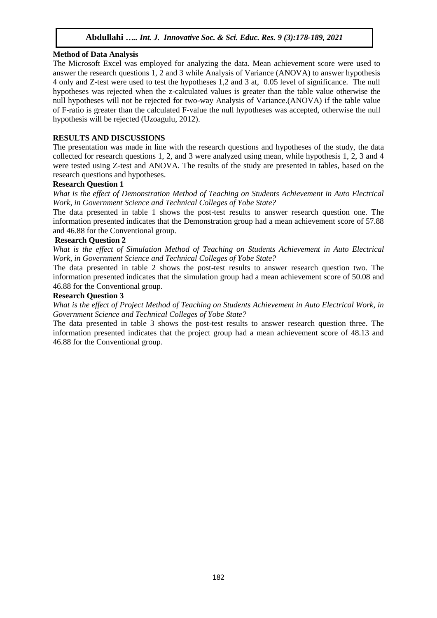## **Method of Data Analysis**

The Microsoft Excel was employed for analyzing the data. Mean achievement score were used to answer the research questions 1, 2 and 3 while Analysis of Variance (ANOVA) to answer hypothesis 4 only and Z-test were used to test the hypotheses 1,2 and 3 at, 0.05 level of significance. The null hypotheses was rejected when the z-calculated values is greater than the table value otherwise the null hypotheses will not be rejected for two-way Analysis of Variance.(ANOVA) if the table value of F-ratio is greater than the calculated F-value the null hypotheses was accepted, otherwise the null hypothesis will be rejected (Uzoagulu, 2012).

## **RESULTS AND DISCUSSIONS**

The presentation was made in line with the research questions and hypotheses of the study, the data collected for research questions 1, 2, and 3 were analyzed using mean, while hypothesis 1, 2, 3 and 4 were tested using Z-test and ANOVA. The results of the study are presented in tables, based on the research questions and hypotheses.

#### **Research Question 1**

*What is the effect of Demonstration Method of Teaching on Students Achievement in Auto Electrical Work, in Government Science and Technical Colleges of Yobe State?*

The data presented in table 1 shows the post-test results to answer research question one. The information presented indicates that the Demonstration group had a mean achievement score of 57.88 and 46.88 for the Conventional group.

## **Research Question 2**

*What is the effect of Simulation Method of Teaching on Students Achievement in Auto Electrical Work, in Government Science and Technical Colleges of Yobe State?*

The data presented in table 2 shows the post-test results to answer research question two. The information presented indicates that the simulation group had a mean achievement score of 50.08 and 46.88 for the Conventional group.

#### **Research Question 3**

*What is the effect of Project Method of Teaching on Students Achievement in Auto Electrical Work, in Government Science and Technical Colleges of Yobe State?*

The data presented in table 3 shows the post-test results to answer research question three. The information presented indicates that the project group had a mean achievement score of 48.13 and 46.88 for the Conventional group.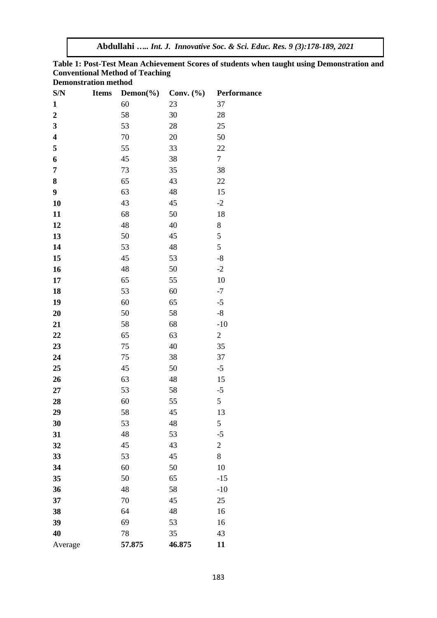**Table 1: Post-Test Mean Achievement Scores of students when taught using Demonstration and Conventional Method of Teaching**

| <b>Demonstration method</b> |  |
|-----------------------------|--|
|-----------------------------|--|

| S/N                     | <b>Items</b> | Demon( $\%$ ) | Conv. $(\% )$ | Performance    |
|-------------------------|--------------|---------------|---------------|----------------|
| $\mathbf{1}$            |              | 60            | 23            | 37             |
| $\boldsymbol{2}$        |              | 58            | 30            | 28             |
| 3                       |              | 53            | 28            | 25             |
| $\overline{\mathbf{4}}$ |              | 70            | 20            | 50             |
| 5                       |              | 55            | 33            | 22             |
| 6                       |              | 45            | 38            | $\overline{7}$ |
| 7                       |              | 73            | 35            | 38             |
| 8                       |              | 65            | 43            | 22             |
| 9                       |              | 63            | 48            | 15             |
| 10                      |              | 43            | 45            | $-2$           |
| 11                      |              | 68            | 50            | 18             |
| 12                      |              | 48            | 40            | $\,$ 8 $\,$    |
| 13                      |              | 50            | 45            | 5              |
| 14                      |              | 53            | 48            | 5              |
| 15                      |              | 45            | 53            | $-8$           |
| 16                      |              | 48            | 50            | $-2$           |
| 17                      |              | 65            | 55            | 10             |
| 18                      |              | 53            | 60            | $-7$           |
| 19                      |              | 60            | 65            | $-5$           |
| 20                      |              | 50            | 58            | $-8$           |
| 21                      |              | 58            | 68            | $-10$          |
| 22                      |              | 65            | 63            | $\mathbf{2}$   |
| 23                      |              | 75            | 40            | 35             |
| 24                      |              | 75            | 38            | 37             |
| 25                      |              | 45            | 50            | $-5$           |
| 26                      |              | 63            | 48            | 15             |
| 27                      |              | 53            | 58            | $-5$           |
| 28                      |              | 60            | 55            | 5              |
| 29                      |              | 58            | 45            | 13             |
| 30                      |              | 53            | 48            | 5              |
| 31                      |              | 48            | 53            | $-5$           |
| 32                      |              | 45            | 43            | $\mathfrak{2}$ |
| 33                      |              | 53            | 45            | 8              |
| 34                      |              | 60            | 50            | 10             |
| 35                      |              | 50            | 65            | $-15$          |
| 36                      |              | 48            | 58            | $-10$          |
| 37                      |              | 70            | 45            | 25             |
| 38                      |              | 64            | 48            | 16             |
| 39                      |              | 69            | 53            | 16             |
| 40                      |              | 78            | 35            | 43             |
| Average                 |              | 57.875        | 46.875        | 11             |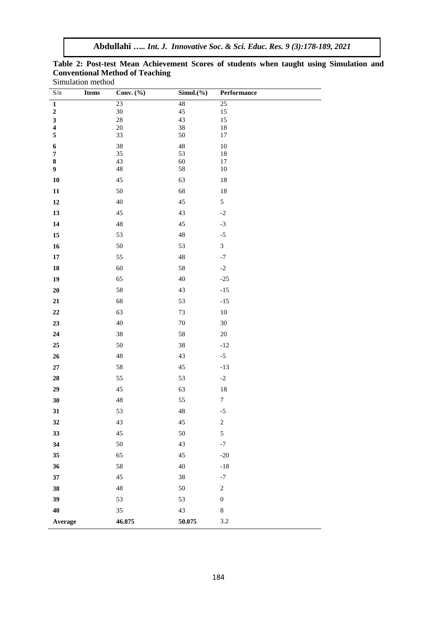| $S/n$                                              | punantion memor<br><b>Items</b> | Conv. $(\% )$     | $Simul.$ (%) | Performance      |
|----------------------------------------------------|---------------------------------|-------------------|--------------|------------------|
| $\overline{\mathbf{1}}$                            |                                 | 23                | 48           | $\overline{25}$  |
| $\boldsymbol{2}$                                   |                                 | $30\,$            | $45\,$       | 15               |
| $\overline{\mathbf{3}}$<br>$\overline{\mathbf{4}}$ |                                 | $28\,$<br>$20\,$  | 43<br>38     | 15<br>18         |
| 5                                                  |                                 | 33                | 50           | 17               |
| $\boldsymbol{6}$                                   |                                 | 38                | 48           | $10\,$           |
| $\pmb{7}$                                          |                                 | 35                | 53           | 18               |
| $\bf 8$<br>$\boldsymbol{9}$                        |                                 | 43<br>$\sqrt{48}$ | 60<br>58     | $17\,$<br>10     |
| ${\bf 10}$                                         |                                 | $45\,$            | 63           | $18\,$           |
| ${\bf 11}$                                         |                                 | $50\,$            | 68           | $18\,$           |
| ${\bf 12}$                                         |                                 | $40\,$            | $45\,$       | 5                |
| $13\,$                                             |                                 | $45\,$            | 43           | $-2$             |
| 14                                                 |                                 | $\sqrt{48}$       | 45           | $-3$             |
| $15\,$                                             |                                 | 53                | 48           | $-5$             |
| ${\bf 16}$                                         |                                 | $50\,$            | 53           | 3                |
| $\bf 17$                                           |                                 | 55                | $\sqrt{48}$  | $^{\rm -7}$      |
| ${\bf 18}$                                         |                                 | 60                | 58           | $\mbox{-}2$      |
| 19                                                 |                                 | 65                | 40           | $-25$            |
| $20\,$                                             |                                 | 58                | 43           | $-15$            |
| ${\bf 21}$                                         |                                 | 68                | 53           | $-15$            |
| $\bf{22}$                                          |                                 | 63                | $73\,$       | $10\,$           |
| 23                                                 |                                 | 40                | $70\,$       | $30\,$           |
| ${\bf 24}$                                         |                                 | $38\,$            | 58           | $20\,$           |
| ${\bf 25}$                                         |                                 | $50\,$            | 38           | $-12$            |
| $26\phantom{.}$                                    |                                 | $\sqrt{48}$       | 43           | $-5$             |
| $\bf 27$                                           |                                 | $58\,$            | $45\,$       | $-13$            |
| ${\bf 28}$                                         |                                 | 55                | 53           | $-2$             |
| ${\bf 29}$                                         |                                 | $45\,$            | 63           | $18\,$           |
| 30                                                 |                                 | $\sqrt{48}$       | 55           | $\boldsymbol{7}$ |
| 31                                                 |                                 | 53                | 48           | $-5$             |
| 32                                                 |                                 | 43                | 45           | $\boldsymbol{2}$ |
| 33                                                 |                                 | 45                | 50           | $\sqrt{5}$       |
| 34                                                 |                                 | $50\,$            | 43           | $-7$             |
| 35                                                 |                                 | 65                | 45           | $-20$            |
| 36                                                 |                                 | 58                | 40           | $-18$            |
| $37\,$                                             |                                 | 45                | 38           | $^{\rm -7}$      |
| 38                                                 |                                 | $48\,$            | 50           | $\boldsymbol{2}$ |
| 39                                                 |                                 | 53                | 53           | $\boldsymbol{0}$ |
| 40                                                 |                                 | 35                | 43           | $\,8\,$          |
| Average                                            |                                 | 46.875            | 50.075       | 3.2              |

**Table 2: Post-test Mean Achievement Scores of students when taught using Simulation and Conventional Method of Teaching** Simulation method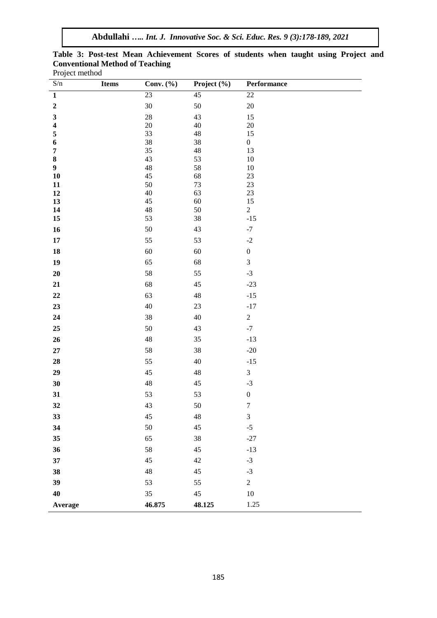**Abdullahi** *….. Int. J. Innovative Soc. & Sci. Educ. Res. 9 (3):178-189, 2021*

|                |                                        | Table 3: Post-test Mean Achievement Scores of students when taught using Project and |  |  |  |  |
|----------------|----------------------------------------|--------------------------------------------------------------------------------------|--|--|--|--|
|                | <b>Conventional Method of Teaching</b> |                                                                                      |  |  |  |  |
| Project method |                                        |                                                                                      |  |  |  |  |

| $\ensuremath{\mathrm{S}}\xspace/n$ | Items | Conv. (%) | Project $(\overline{\frac{\%}{}})$ | Performance      |
|------------------------------------|-------|-----------|------------------------------------|------------------|
| $\mathbf{1}$                       |       | 23        | $\overline{45}$                    | $\overline{22}$  |
| $\mathbf 2$                        |       | 30        | 50                                 | $20\,$           |
| $\mathbf{3}$                       |       | 28        | 43                                 | 15               |
| $\overline{\mathbf{4}}$            |       | $20\,$    | 40                                 | $20\,$           |
| 5                                  |       | 33        | 48                                 | 15               |
| 6                                  |       | 38        | 38                                 | $\boldsymbol{0}$ |
| $\pmb{7}$<br>$\pmb{8}$             |       | 35<br>43  | 48<br>53                           | 13<br>$10\,$     |
| $\boldsymbol{9}$                   |       | 48        | 58                                 | $10\,$           |
| ${\bf 10}$                         |       | 45        | 68                                 | $23\,$           |
| 11                                 |       | 50        | 73                                 | $23\,$           |
| $12\,$                             |       | 40        | 63                                 | $23\,$           |
| 13                                 |       | 45        | 60                                 | $15\,$           |
| 14                                 |       | 48        | 50                                 | $\overline{c}$   |
| ${\bf 15}$                         |       | 53        | 38                                 | $-15$            |
| ${\bf 16}$                         |       | 50        | 43                                 | $-7$             |
| 17                                 |       | 55        | 53                                 | $\mbox{-}2$      |
| ${\bf 18}$                         |       | 60        | 60                                 | $\boldsymbol{0}$ |
| 19                                 |       | 65        | 68                                 | $\mathfrak 3$    |
| 20                                 |       | 58        | 55                                 | $-3$             |
| 21                                 |       | 68        | 45                                 | $-23$            |
| $\bf{22}$                          |       | 63        | 48                                 | $-15$            |
| 23                                 |       | 40        | 23                                 | $-17$            |
| 24                                 |       | 38        | 40                                 | $\sqrt{2}$       |
| ${\bf 25}$                         |       | 50        | 43                                 | $-7$             |
| $26\phantom{.}$                    |       | 48        | 35                                 | $-13$            |
| ${\bf 27}$                         |       | 58        | 38                                 | $-20$            |
| 28                                 |       | 55        | 40                                 | $-15$            |
| 29                                 |       | 45        | 48                                 | $\mathfrak 3$    |
| 30                                 |       | 48        | 45                                 | $-3$             |
| 31                                 |       | 53        | 53                                 | $\boldsymbol{0}$ |
| 32                                 |       | 43        | 50                                 | $\tau$           |
| 33                                 |       | 45        | 48                                 | 3                |
| 34                                 |       | 50        | 45                                 | $-5$             |
| 35                                 |       | 65        | 38                                 | $-27$            |
| 36                                 |       | 58        | 45                                 | $-13$            |
| 37                                 |       | 45        | 42                                 | $-3$             |
| 38                                 |       | 48        | 45                                 | $-3$             |
| 39                                 |       | 53        | 55                                 | $\overline{c}$   |
| 40                                 |       | 35        | $45\,$                             | $10\,$           |
| Average                            |       | 46.875    | 48.125                             | 1.25             |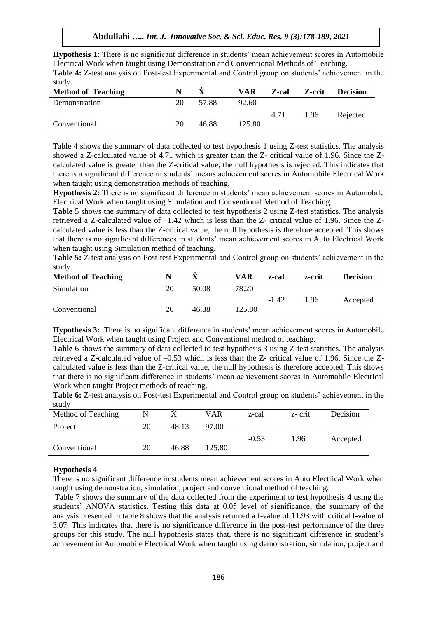**Hypothesis 1:** There is no significant difference in students' mean achievement scores in Automobile Electrical Work when taught using Demonstration and Conventional Methods of Teaching.

**Table 4:** Z-test analysis on Post-test Experimental and Control group on students' achievement in the study.

| <b>Method of Teaching</b> | N  |       | VAR    | Z-cal | Z-crit | <b>Decision</b> |
|---------------------------|----|-------|--------|-------|--------|-----------------|
| Demonstration             | 20 | 57.88 | 92.60  |       |        |                 |
|                           |    |       |        | 4.71  | 1.96   | Rejected        |
| Conventional              | 20 | 46.88 | 125.80 |       |        |                 |

Table 4 shows the summary of data collected to test hypothesis 1 using Z-test statistics. The analysis showed a Z-calculated value of 4.71 which is greater than the Z- critical value of 1.96. Since the Zcalculated value is greater than the Z-critical value, the null hypothesis is rejected. This indicates that there is a significant difference in students' means achievement scores in Automobile Electrical Work when taught using demonstration methods of teaching.

**Hypothesis 2:** There is no significant difference in students' mean achievement scores in Automobile Electrical Work when taught using Simulation and Conventional Method of Teaching.

**Table** 5 shows the summary of data collected to test hypothesis 2 using Z-test statistics. The analysis retrieved a Z-calculated value of –1.42 which is less than the Z- critical value of 1.96. Since the Zcalculated value is less than the Z-critical value, the null hypothesis is therefore accepted. This shows that there is no significant differences in students' mean achievement scores in Auto Electrical Work when taught using Simulation method of teaching.

**Table 5:** Z-test analysis on Post-test Experimental and Control group on students' achievement in the study.

| <b>Method of Teaching</b> |    |       | VAR    | z-cal   | z-crit | <b>Decision</b> |
|---------------------------|----|-------|--------|---------|--------|-----------------|
| Simulation                | 20 | 50.08 | 78.20  |         |        |                 |
|                           |    |       |        | $-1.42$ | 1.96   | Accepted        |
| Conventional              | 20 | 46.88 | 125.80 |         |        |                 |

**Hypothesis 3:** There is no significant difference in students' mean achievement scores in Automobile Electrical Work when taught using Project and Conventional method of teaching.

**Table** 6 shows the summary of data collected to test hypothesis 3 using Z-test statistics. The analysis retrieved a Z-calculated value of –0.53 which is less than the Z- critical value of 1.96. Since the Zcalculated value is less than the Z-critical value, the null hypothesis is therefore accepted. This shows that there is no significant difference in students' mean achievement scores in Automobile Electrical Work when taught Project methods of teaching.

**Table 6:** Z-test analysis on Post-test Experimental and Control group on students' achievement in the study

| <b>Stutt</b>       |    |       |        |         |        |          |
|--------------------|----|-------|--------|---------|--------|----------|
| Method of Teaching | N  |       | VAR    | z-cal   | z-crit | Decision |
| Project            | 20 | 48.13 | 97.00  |         |        |          |
|                    |    |       |        | $-0.53$ | 1.96   | Accepted |
| Conventional       | 20 | 46.88 | 125.80 |         |        |          |
|                    |    |       |        |         |        |          |

#### **Hypothesis 4**

There is no significant difference in students mean achievement scores in Auto Electrical Work when taught using demonstration, simulation, project and conventional method of teaching.

Table 7 shows the summary of the data collected from the experiment to test hypothesis 4 using the students' ANOVA statistics. Testing this data at 0.05 level of significance, the summary of the analysis presented in table 8 shows that the analysis returned a f-value of 11.93 with critical f-value of 3.07. This indicates that there is no significance difference in the post-test performance of the three groups for this study. The null hypothesis states that, there is no significant difference in student's achievement in Automobile Electrical Work when taught using demonstration, simulation, project and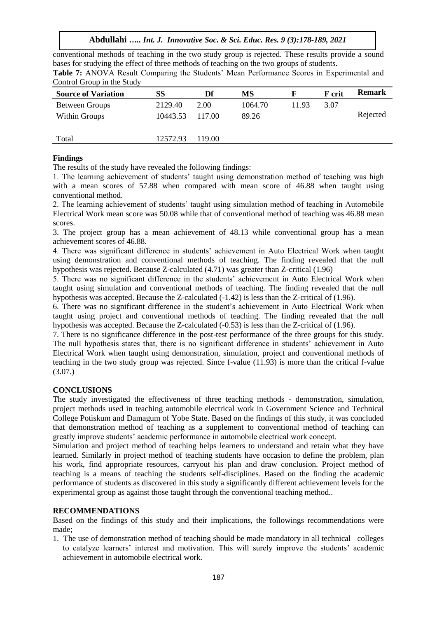conventional methods of teaching in the two study group is rejected. These results provide a sound bases for studying the effect of three methods of teaching on the two groups of students. **Table 7:** ANOVA Result Comparing the Students' Mean Performance Scores in Experimental and

| Control Group in the Study |  |  |
|----------------------------|--|--|
|                            |  |  |

| <b>Source of Variation</b> | SS       | Df     | MS      |       | F crit | <b>Remark</b> |
|----------------------------|----------|--------|---------|-------|--------|---------------|
| <b>Between Groups</b>      | 2129.40  | 2.00   | 1064.70 | 11.93 | 3.07   |               |
| <b>Within Groups</b>       | 10443.53 | 117.00 | 89.26   |       |        | Rejected      |
|                            |          |        |         |       |        |               |
| Total                      | 12572.93 | 119.00 |         |       |        |               |
|                            |          |        |         |       |        |               |

# **Findings**

The results of the study have revealed the following findings:

1. The learning achievement of students' taught using demonstration method of teaching was high with a mean scores of 57.88 when compared with mean score of 46.88 when taught using conventional method.

2. The learning achievement of students' taught using simulation method of teaching in Automobile Electrical Work mean score was 50.08 while that of conventional method of teaching was 46.88 mean scores.

3. The project group has a mean achievement of 48.13 while conventional group has a mean achievement scores of 46.88.

4. There was significant difference in students' achievement in Auto Electrical Work when taught using demonstration and conventional methods of teaching. The finding revealed that the null hypothesis was rejected. Because Z-calculated (4.71) was greater than Z-critical (1.96)

5. There was no significant difference in the students' achievement in Auto Electrical Work when taught using simulation and conventional methods of teaching. The finding revealed that the null hypothesis was accepted. Because the Z-calculated (-1.42) is less than the Z-critical of (1.96).

6. There was no significant difference in the student's achievement in Auto Electrical Work when taught using project and conventional methods of teaching. The finding revealed that the null hypothesis was accepted. Because the Z-calculated (-0.53) is less than the Z-critical of (1.96).

7. There is no significance difference in the post-test performance of the three groups for this study. The null hypothesis states that, there is no significant difference in students' achievement in Auto Electrical Work when taught using demonstration, simulation, project and conventional methods of teaching in the two study group was rejected. Since f-value (11.93) is more than the critical f-value (3.07.)

# **CONCLUSIONS**

The study investigated the effectiveness of three teaching methods - demonstration, simulation, project methods used in teaching automobile electrical work in Government Science and Technical College Potiskum and Damagum of Yobe State. Based on the findings of this study, it was concluded that demonstration method of teaching as a supplement to conventional method of teaching can greatly improve students' academic performance in automobile electrical work concept.

Simulation and project method of teaching helps learners to understand and retain what they have learned. Similarly in project method of teaching students have occasion to define the problem, plan his work, find appropriate resources, carryout his plan and draw conclusion. Project method of teaching is a means of teaching the students self-disciplines. Based on the finding the academic performance of students as discovered in this study a significantly different achievement levels for the experimental group as against those taught through the conventional teaching method..

# **RECOMMENDATIONS**

Based on the findings of this study and their implications, the followings recommendations were made;

1. The use of demonstration method of teaching should be made mandatory in all technical colleges to catalyze learners' interest and motivation. This will surely improve the students' academic achievement in automobile electrical work.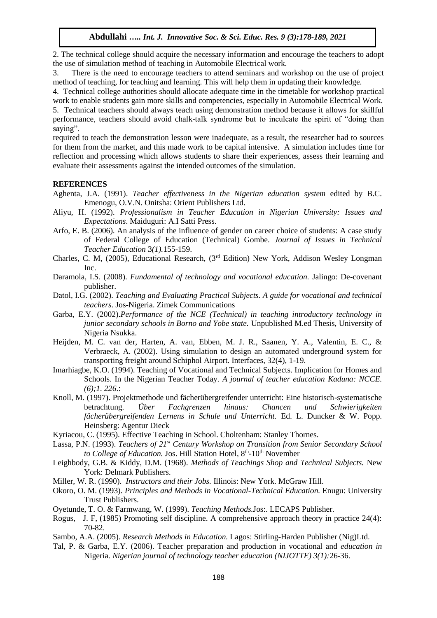2. The technical college should acquire the necessary information and encourage the teachers to adopt the use of simulation method of teaching in Automobile Electrical work.

3. There is the need to encourage teachers to attend seminars and workshop on the use of project method of teaching, for teaching and learning. This will help them in updating their knowledge.

4. Technical college authorities should allocate adequate time in the timetable for workshop practical work to enable students gain more skills and competencies, especially in Automobile Electrical Work.

5. Technical teachers should always teach using demonstration method because it allows for skillful performance, teachers should avoid chalk-talk syndrome but to inculcate the spirit of "doing than saying".

required to teach the demonstration lesson were inadequate, as a result, the researcher had to sources for them from the market, and this made work to be capital intensive. A simulation includes time for reflection and processing which allows students to share their experiences, assess their learning and evaluate their assessments against the intended outcomes of the simulation.

#### **REFERENCES**

- Aghenta, J.A. (1991). *Teacher effectiveness in the Nigerian education system* edited by B.C. Emenogu, O.V.N. Onitsha: Orient Publishers Ltd.
- Aliyu, H. (1992). *Professionalism in Teacher Education in Nigerian University: Issues and Expectations*. Maiduguri: A.I Satti Press.
- Arfo, E. B. (2006). An analysis of the influence of gender on career choice of students: A case study of Federal College of Education (Technical) Gombe. *Journal of Issues in Technical Teacher Education* 3*(1).*155-159.
- Charles, C. M, (2005), Educational Research, (3rd Edition) New York, Addison Wesley Longman Inc.
- Daramola, I.S. (2008). *Fundamental of technology and vocational education.* Jalingo: De-covenant publisher.
- Datol, I.G. (2002). *Teaching and Evaluating Practical Subjects. A guide for vocational and technical teachers*. Jos-Nigeria. Zimek Communications
- Garba, E.Y. (2002).*Performance of the NCE (Technical) in teaching introductory technology in junior secondary schools in Borno and Yobe state.* Unpublished M.ed Thesis, University of Nigeria Nsukka.
- Heijden, M. C. van der, Harten, A. van, Ebben, M. J. R., Saanen, Y. A., Valentin, E. C., & Verbraeck, A. (2002). Using simulation to design an automated underground system for transporting freight around Schiphol Airport. Interfaces, 32(4), 1-19.
- Imarhiagbe, K.O. (1994). Teaching of Vocational and Technical Subjects. Implication for Homes and Schools. In the Nigerian Teacher Today*. A journal of teacher education Kaduna: NCCE. (6);1. 226*.:
- Knoll, M. (1997). Projektmethode und fächerübergreifender unterricht: Eine historisch-systematische betrachtung. *Über Fachgrenzen hinaus: Chancen und Schwierigkeiten fächerübergreifenden Lernens in Schule und Unterricht.* Ed. L. Duncker & W. Popp. Heinsberg: Agentur Dieck
- Kyriacou, C. (1995). Effective Teaching in School. Choltenham: Stanley Thornes.
- Lassa, P.N. (1993). *Teachers of 21st Century Workshop on Transition from Senior Secondary School*  to College of Education. Jos. Hill Station Hotel, 8<sup>th</sup>-10<sup>th</sup> November
- Leighbody, G.B. & Kiddy, D.M. (1968). *Methods of Teachings Shop and Technical Subjects.* New York: Delmark Publishers.
- Miller, W. R. (1990). *Instructors and their Jobs.* Illinois: New York. McGraw Hill.
- Okoro, O. M. (1993). *Principles and Methods in Vocational-Technical Education.* Enugu: University Trust Publishers.
- Oyetunde, T. O. & Farmwang, W. (1999). *Teaching Methods.*Jos:. LECAPS Publisher.
- Rogus, J. F, (1985) Promoting self discipline. A comprehensive approach theory in practice 24(4): 70-82.
- Sambo, A.A. (2005). *Research Methods in Education.* Lagos: Stirling-Harden Publisher (Nig)Ltd.
- Tal, P. & Garba, E.Y. (2006). Teacher preparation and production in vocational and *education in*  Nigeria. *Nigerian journal of technology teacher education (NIJOTTE) 3(1):*26-36.